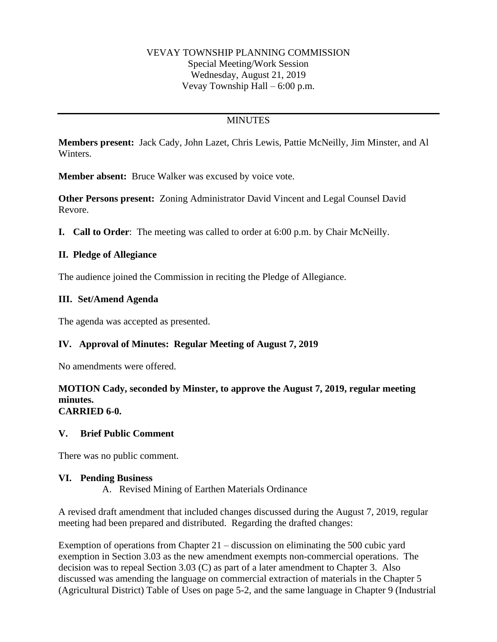## VEVAY TOWNSHIP PLANNING COMMISSION Special Meeting/Work Session Wednesday, August 21, 2019 Vevay Township Hall – 6:00 p.m.

# **MINUTES**

**Members present:** Jack Cady, John Lazet, Chris Lewis, Pattie McNeilly, Jim Minster, and Al Winters.

**Member absent:** Bruce Walker was excused by voice vote.

**Other Persons present:** Zoning Administrator David Vincent and Legal Counsel David Revore.

**I. Call to Order**: The meeting was called to order at 6:00 p.m. by Chair McNeilly.

## **II. Pledge of Allegiance**

The audience joined the Commission in reciting the Pledge of Allegiance.

## **III. Set/Amend Agenda**

The agenda was accepted as presented.

## **IV. Approval of Minutes: Regular Meeting of August 7, 2019**

No amendments were offered.

#### **MOTION Cady, seconded by Minster, to approve the August 7, 2019, regular meeting minutes. CARRIED 6-0.**

### **V. Brief Public Comment**

There was no public comment.

### **VI. Pending Business**

A. Revised Mining of Earthen Materials Ordinance

A revised draft amendment that included changes discussed during the August 7, 2019, regular meeting had been prepared and distributed. Regarding the drafted changes:

Exemption of operations from Chapter 21 – discussion on eliminating the 500 cubic yard exemption in Section 3.03 as the new amendment exempts non-commercial operations. The decision was to repeal Section 3.03 (C) as part of a later amendment to Chapter 3. Also discussed was amending the language on commercial extraction of materials in the Chapter 5 (Agricultural District) Table of Uses on page 5-2, and the same language in Chapter 9 (Industrial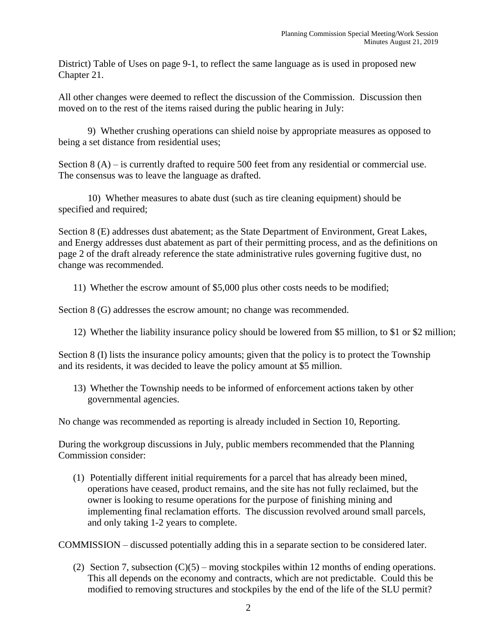District) Table of Uses on page 9-1, to reflect the same language as is used in proposed new Chapter 21.

All other changes were deemed to reflect the discussion of the Commission. Discussion then moved on to the rest of the items raised during the public hearing in July:

9) Whether crushing operations can shield noise by appropriate measures as opposed to being a set distance from residential uses;

Section 8 (A) – is currently drafted to require 500 feet from any residential or commercial use. The consensus was to leave the language as drafted.

10) Whether measures to abate dust (such as tire cleaning equipment) should be specified and required;

Section 8 (E) addresses dust abatement; as the State Department of Environment, Great Lakes, and Energy addresses dust abatement as part of their permitting process, and as the definitions on page 2 of the draft already reference the state administrative rules governing fugitive dust, no change was recommended.

11) Whether the escrow amount of \$5,000 plus other costs needs to be modified;

Section 8 (G) addresses the escrow amount; no change was recommended.

12) Whether the liability insurance policy should be lowered from \$5 million, to \$1 or \$2 million;

Section 8 (I) lists the insurance policy amounts; given that the policy is to protect the Township and its residents, it was decided to leave the policy amount at \$5 million.

13) Whether the Township needs to be informed of enforcement actions taken by other governmental agencies.

No change was recommended as reporting is already included in Section 10, Reporting.

During the workgroup discussions in July, public members recommended that the Planning Commission consider:

(1) Potentially different initial requirements for a parcel that has already been mined, operations have ceased, product remains, and the site has not fully reclaimed, but the owner is looking to resume operations for the purpose of finishing mining and implementing final reclamation efforts. The discussion revolved around small parcels, and only taking 1-2 years to complete.

COMMISSION – discussed potentially adding this in a separate section to be considered later.

(2) Section 7, subsection  $(C)(5)$  – moving stockpiles within 12 months of ending operations. This all depends on the economy and contracts, which are not predictable. Could this be modified to removing structures and stockpiles by the end of the life of the SLU permit?